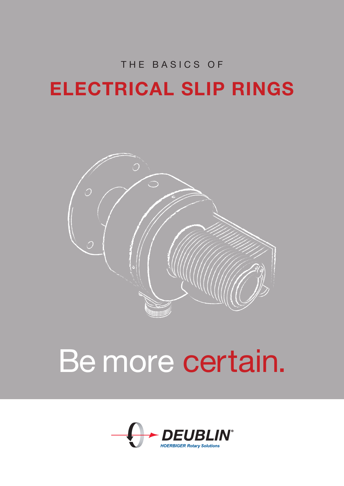# THE BASICS OF ELECTRICAL SLIP RINGS



# Be more certain.

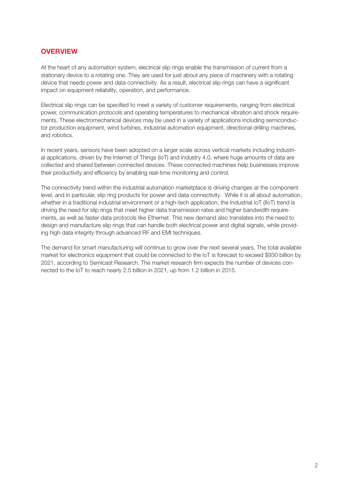## **OVERVIEW**

At the heart of any automation system, electrical slip rings enable the transmission of current from a stationary device to a rotating one. They are used for just about any piece of machinery with a rotating device that needs power and data connectivity. As a result, electrical slip rings can have a significant impact on equipment reliability, operation, and performance.

Electrical slip rings can be specified to meet a variety of customer requirements, ranging from electrical power, communication protocols and operating temperatures to mechanical vibration and shock requirements. These electromechanical devices may be used in a variety of applications including semiconductor production equipment, wind turbines, industrial automation equipment, directional drilling machines, and robotics.

In recent years, sensors have been adopted on a larger scale across vertical markets including industrial applications, driven by the Internet of Things (IoT) and Industry 4.0, where huge amounts of data are collected and shared between connected devices. These connected machines help businesses improve their productivity and efficiency by enabling real-time monitoring and control.

The connectivity trend within the industrial automation marketplace is driving changes at the component level, and in particular, slip ring products for power and data connectivity. While it is all about automation, whether in a traditional industrial environment or a high-tech application, the Industrial IoT (IIoT) trend is driving the need for slip rings that meet higher data transmission rates and higher bandwidth requirements, as well as faster data protocols like Ethernet. This new demand also translates into the need to design and manufacture slip rings that can handle both electrical power and digital signals, while providing high data integrity through advanced RF and EMI techniques.

The demand for smart manufacturing will continue to grow over the next several years. The total available market for electronics equipment that could be connected to the IoT is forecast to exceed \$930 billion by 2021, according to Semicast Research. The market research firm expects the number of devices connected to the IoT to reach nearly 2.5 billion in 2021, up from 1.2 billion in 2015.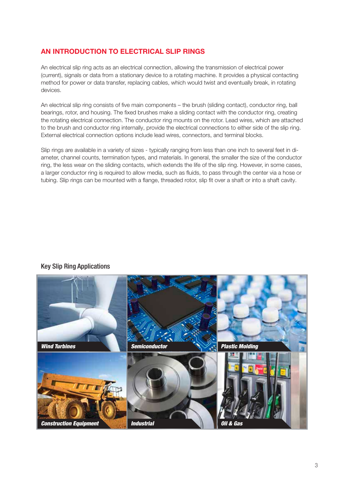# AN INTRODUCTION TO ELECTRICAL SLIP RINGS

An electrical slip ring acts as an electrical connection, allowing the transmission of electrical power (current), signals or data from a stationary device to a rotating machine. It provides a physical contacting method for power or data transfer, replacing cables, which would twist and eventually break, in rotating devices.

An electrical slip ring consists of five main components – the brush (sliding contact), conductor ring, ball bearings, rotor, and housing. The fixed brushes make a sliding contact with the conductor ring, creating the rotating electrical connection. The conductor ring mounts on the rotor. Lead wires, which are attached to the brush and conductor ring internally, provide the electrical connections to either side of the slip ring. External electrical connection options include lead wires, connectors, and terminal blocks.

Slip rings are available in a variety of sizes - typically ranging from less than one inch to several feet in diameter, channel counts, termination types, and materials. In general, the smaller the size of the conductor ring, the less wear on the sliding contacts, which extends the life of the slip ring. However, in some cases, a larger conductor ring is required to allow media, such as fluids, to pass through the center via a hose or tubing. Slip rings can be mounted with a flange, threaded rotor, slip fit over a shaft or into a shaft cavity.

#### Key Slip Ring Applications

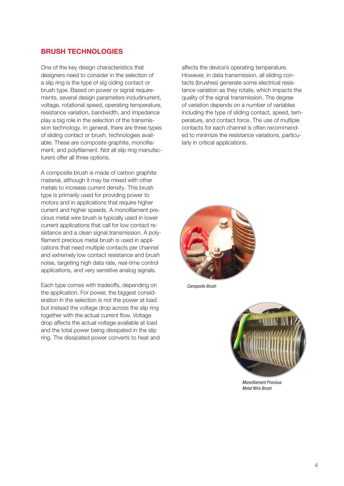### BRUSH TECHNOLOGIES

One of the key design characteristics that designers need to consider in the selection of a slip ring is the type of slg ciding contact or brush type. Based on power or signal requirements, several design parameters includinurrent, voltage, rotational speed, operating temperature, resistance variation, bandwidth, and impedance play a big role in the selection of the transmission technology. In general, there are three types of sliding contact or brush, technologies available. These are composite graphite, monofilament, and polyfilament. Not all slip ring manufacturers offer all three options.

A composite brush is made of carbon graphite material, although it may be mixed with other metals to increase current density. This brush type is primarily used for providing power to motors and in applications that require higher current and higher speeds. A monofilament precious metal wire brush is typically used in lower current applications that call for low contact resistance and a clean signal transmission. A polyfilament precious metal brush is used in applications that need multiple contacts per channel and extremely low contact resistance and brush noise, targeting high data rate, real-time control applications, and very sensitive analog signals.

Each type comes with tradeoffs, depending on the application. For power, the biggest consideration in the selection is not the power at load but instead the voltage drop across the slip ring together with the actual current flow. Voltage drop affects the actual voltage available at load and the total power being dissipated in the slip ring. The dissipated power converts to heat and affects the device's operating temperature. However, in data transmission, all sliding contacts (brushes) generate some electrical resistance variation as they rotate, which impacts the quality of the signal transmission. The degree of variation depends on a number of variables including the type of sliding contact, speed, temperature, and contact force. The use of multiple contacts for each channel is often recommended to minimize the resistance variations, particularly in critical applications.



Composite Brush



Monofilament Precious Metal Wire Brush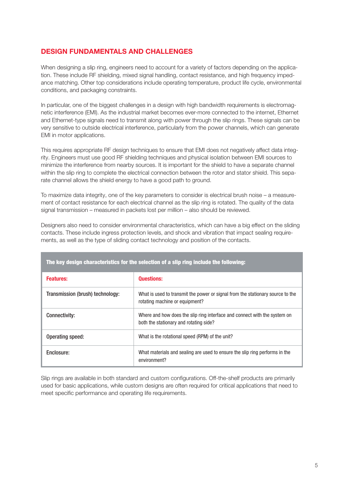# DESIGN FUNDAMENTALS AND CHALLENGES

When designing a slip ring, engineers need to account for a variety of factors depending on the application. These include RF shielding, mixed signal handling, contact resistance, and high frequency impedance matching. Other top considerations include operating temperature, product life cycle, environmental conditions, and packaging constraints.

In particular, one of the biggest challenges in a design with high bandwidth requirements is electromagnetic interference (EMI). As the industrial market becomes ever-more connected to the internet, Ethernet and Ethernet-type signals need to transmit along with power through the slip rings. These signals can be very sensitive to outside electrical interference, particularly from the power channels, which can generate EMI in motor applications.

This requires appropriate RF design techniques to ensure that EMI does not negatively affect data integrity. Engineers must use good RF shielding techniques and physical isolation between EMI sources to minimize the interference from nearby sources. It is important for the shield to have a separate channel within the slip ring to complete the electrical connection between the rotor and stator shield. This separate channel allows the shield energy to have a good path to ground.

To maximize data integrity, one of the key parameters to consider is electrical brush noise – a measurement of contact resistance for each electrical channel as the slip ring is rotated. The quality of the data signal transmission – measured in packets lost per million – also should be reviewed.

Designers also need to consider environmental characteristics, which can have a big effect on the sliding contacts. These include ingress protection levels, and shock and vibration that impact sealing requirements, as well as the type of sliding contact technology and position of the contacts.

| <b>Features:</b>                 | <b>Questions:</b>                                                                                                   |
|----------------------------------|---------------------------------------------------------------------------------------------------------------------|
| Transmission (brush) technology: | What is used to transmit the power or signal from the stationary source to the<br>rotating machine or equipment?    |
| <b>Connectivity:</b>             | Where and how does the slip ring interface and connect with the system on<br>both the stationary and rotating side? |
| Operating speed:                 | What is the rotational speed (RPM) of the unit?                                                                     |
| Enclosure:                       | What materials and sealing are used to ensure the slip ring performs in the<br>environment?                         |

The key design characteristics for the selection of a slip ring include the following:

Slip rings are available in both standard and custom configurations. Off-the-shelf products are primarily used for basic applications, while custom designs are often required for critical applications that need to meet specific performance and operating life requirements.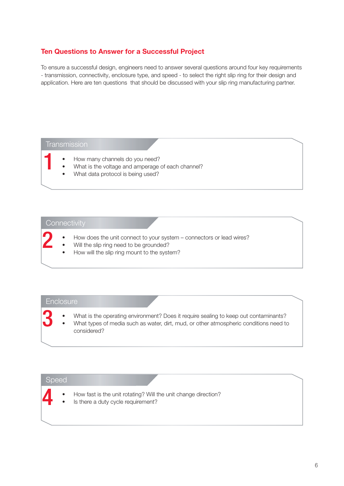#### Ten Questions to Answer for a Successful Project

To ensure a successful design, engineers need to answer several questions around four key requirements - transmission, connectivity, enclosure type, and speed - to select the right slip ring for their design and application. Here are ten questions that should be discussed with your slip ring manufacturing partner.

#### **Transmission**

- How many channels do you need?
- What is the voltage and amperage of each channel?
- What data protocol is being used?

# **Connectivity**

- How does the unit connect to your system connectors or lead wires?
- Will the slip ring need to be grounded?
- How will the slip ring mount to the system?

#### **Enclosure**

• What is the operating environment? Does it require sealing to keep out contaminants? • What types of media such as water, dirt, mud, or other atmospheric conditions need to considered?

#### Speed

| How fast is the unit rotating? Will the unit change direction? |  |
|----------------------------------------------------------------|--|
|----------------------------------------------------------------|--|

Is there a duty cycle requirement?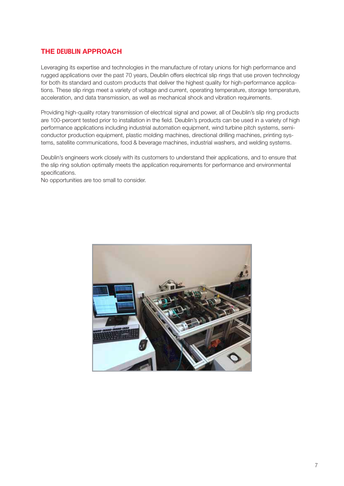## THE DEUBLIN APPROACH

Leveraging its expertise and technologies in the manufacture of rotary unions for high performance and rugged applications over the past 70 years, Deublin offers electrical slip rings that use proven technology for both its standard and custom products that deliver the highest quality for high-performance applications. These slip rings meet a variety of voltage and current, operating temperature, storage temperature, acceleration, and data transmission, as well as mechanical shock and vibration requirements.

Providing high-quality rotary transmission of electrical signal and power, all of Deublin's slip ring products are 100-percent tested prior to installation in the field. Deublin's products can be used in a variety of high performance applications including industrial automation equipment, wind turbine pitch systems, semiconductor production equipment, plastic molding machines, directional drilling machines, printing systems, satellite communications, food & beverage machines, industrial washers, and welding systems.

Deublin's engineers work closely with its customers to understand their applications, and to ensure that the slip ring solution optimally meets the application requirements for performance and environmental specifications.

No opportunities are too small to consider.

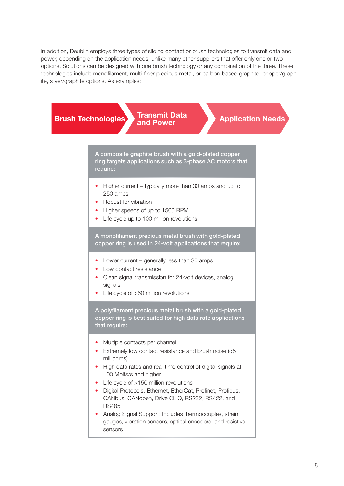In addition, Deublin employs three types of sliding contact or brush technologies to transmit data and power, depending on the application needs, unlike many other suppliers that offer only one or two options. Solutions can be designed with one brush technology or any combination of the three. These technologies include monofilament, multi-fiber precious metal, or carbon-based graphite, copper/graphite, silver/graphite options. As examples:

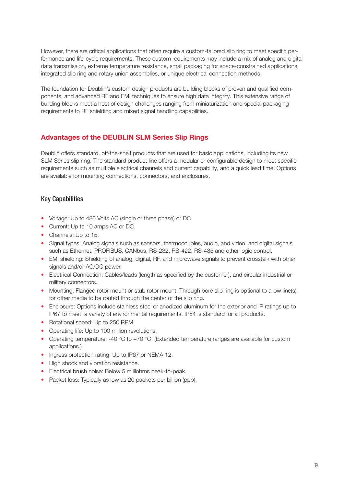However, there are critical applications that often require a custom-tailored slip ring to meet specific performance and life-cycle requirements. These custom requirements may include a mix of analog and digital data transmission, extreme temperature resistance, small packaging for space-constrained applications, integrated slip ring and rotary union assemblies, or unique electrical connection methods.

The foundation for Deublin's custom design products are building blocks of proven and qualified components, and advanced RF and EMI techniques to ensure high data integrity. This extensive range of building blocks meet a host of design challenges ranging from miniaturization and special packaging requirements to RF shielding and mixed signal handling capabilities.

# Advantages of the DEUBLIN SLM Series Slip Rings

Deublin offers standard, off-the-shelf products that are used for basic applications, including its new SLM Series slip ring. The standard product line offers a modular or configurable design to meet specific requirements such as multiple electrical channels and current capability, and a quick lead time. Options are available for mounting connections, connectors, and enclosures.

# Key Capabilities

- Voltage: Up to 480 Volts AC (single or three phase) or DC.
- Current: Up to 10 amps AC or DC.
- Channels: Up to 15.
- Signal types: Analog signals such as sensors, thermocouples, audio, and video, and digital signals such as Ethernet, PROFIBUS, CANbus, RS-232, RS-422, RS-485 and other logic control.
- EMI shielding: Shielding of analog, digital, RF, and microwave signals to prevent crosstalk with other signals and/or AC/DC power.
- Electrical Connection: Cables/leads (length as specified by the customer), and circular industrial or military connectors.
- Mounting: Flanged rotor mount or stub rotor mount. Through bore slip ring is optional to allow line(s) for other media to be routed through the center of the slip ring.
- Enclosure: Options include stainless steel or anodized aluminum for the exterior and IP ratings up to IP67 to meet a variety of environmental requirements. IP54 is standard for all products.
- Rotational speed: Up to 250 RPM.
- Operating life: Up to 100 million revolutions.
- Operating temperature: -40 °C to +70 °C. (Extended temperature ranges are available for custom applications.)
- Ingress protection rating: Up to IP67 or NEMA 12.
- High shock and vibration resistance.
- Electrical brush noise: Below 5 milliohms peak-to-peak.
- Packet loss: Typically as low as 20 packets per billion (ppb).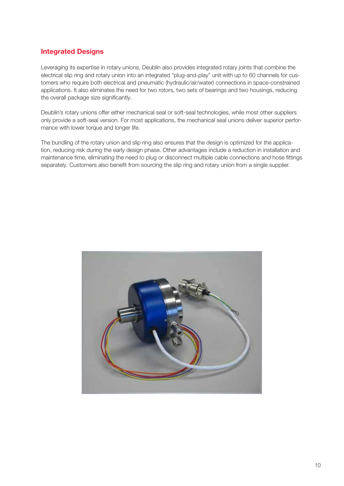# Integrated Designs

Leveraging its expertise in rotary unions, Deublin also provides integrated rotary joints that combine the electrical slip ring and rotary union into an integrated "plug-and-play" unit with up to 60 channels for customers who require both electrical and pneumatic (hydraulic/air/water) connections in space-constrained applications. It also eliminates the need for two rotors, two sets of bearings and two housings, reducing the overall package size significantly.

Deublin's rotary unions offer either mechanical seal or soft-seal technologies, while most other suppliers only provide a soft-seal version. For most applications, the mechanical seal unions deliver superior performance with lower torque and longer life.

The bundling of the rotary union and slip ring also ensures that the design is optimized for the application, reducing risk during the early design phase. Other advantages include a reduction in installation and maintenance time, eliminating the need to plug or disconnect multiple cable connections and hose fittings separately. Customers also benefit from sourcing the slip ring and rotary union from a single supplier.